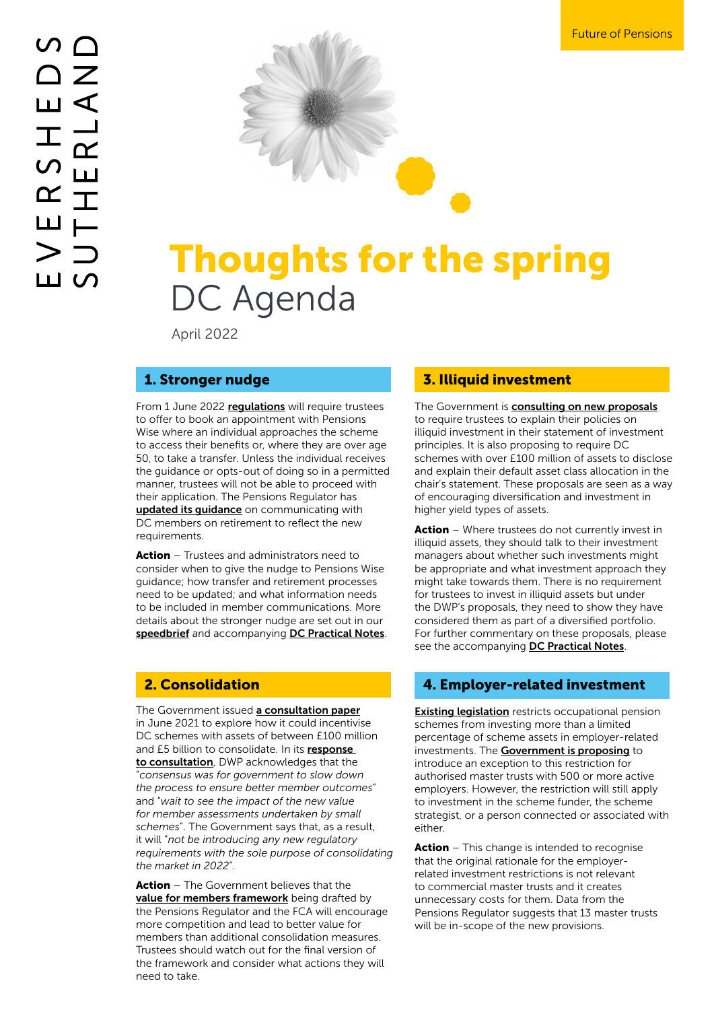

# Thoughts for the spring DC Agenda

April 2022

From 1 June 2022 requlations will require trustees to offer to book an appointment with Pensions Wise where an individual approaches the scheme to access their benefits or, where they are over age 50, to take a transfer. Unless the individual receives the guidance or opts-out of doing so in a permitted manner, trustees will not be able to proceed with their application. The Pensions Regulator has updated its quidance on communicating with DC members on retirement to reflect the new requirements.

Action – Trustees and administrators need to consider when to give the nudge to Pensions Wise guidance; how transfer and retirement processes need to be updated; and what information needs to be included in member communications. More details about the stronger nudge are set out in our [speedbrief](https://www.eversheds-sutherland.com/global/en/what/articles/index.page?ArticleID=en/Pensions/nudge-nudge-whats-next) and accompanying [DC Practical Notes](https://www.eversheds-sutherland.com/documents/services/Pensions/dc-practical-notes-April-22.pdf).

#### 2. Consolidation

The Government issued [a consultation paper](https://assets.publishing.service.gov.uk/government/uploads/system/uploads/attachment_data/file/776181/consultation-investment-innovation-and-future-consolidation.pdf) in June 2021 to explore how it could incentivise DC schemes with assets of between £100 million and £5 billion to consolidate. In its response [to consultation](https://www.gov.uk/government/consultations/facilitating-investment-in-illiquid-assets-by-defined-contribution-pension-schemes/facilitating-investment-in-illiquid-assets#chapter-4-future-of-the-defined-contribution-pensions-market-the-case-for-greater-consolidation), DWP acknowledges that the "*consensus was for government to slow down the process to ensure better member outcomes*" and "*wait to see the impact of the new value for member assessments undertaken by small schemes*". The Government says that, as a result, it will "*not be introducing any new regulatory requirements with the sole purpose of consolidating the market in 2022*".

Action - The Government believes that the [value for members framework](https://www.thepensionsregulator.gov.uk/en/document-library/consultations/value-for-money-discussion-paper/driving-value-for-money-in-defined-contribution-pensions) being drafted by the Pensions Regulator and the FCA will encourage more competition and lead to better value for members than additional consolidation measures. Trustees should watch out for the final version of the framework and consider what actions they will need to take.

#### 1. Stronger nudge 1. The 3. Illiquid investment

The Government is **[consulting on new proposals](https://www.gov.uk/government/consultations/facilitating-investment-in-illiquid-assets-by-defined-contribution-pension-schemes/facilitating-investment-in-illiquid-assets#chapter-1-consultation-response--exempting-performance-based-fees-from-the-regulatory-charge-cap)** to require trustees to explain their policies on illiquid investment in their statement of investment principles. It is also proposing to require DC schemes with over £100 million of assets to disclose and explain their default asset class allocation in the chair's statement. These proposals are seen as a way of encouraging diversification and investment in higher yield types of assets.

**Action** – Where trustees do not currently invest in illiquid assets, they should talk to their investment managers about whether such investments might be appropriate and what investment approach they might take towards them. There is no requirement for trustees to invest in illiquid assets but under the DWP's proposals, they need to show they have considered them as part of a diversified portfolio. For further commentary on these proposals, please see the accompanying [DC Practical Notes](https://www.eversheds-sutherland.com/documents/services/Pensions/dc-practical-notes-April-22.pdf).

#### 4. Employer-related investment

**[Existing legislation](https://www.legislation.gov.uk/uksi/2005/3378/regulation/12/made)** restricts occupational pension schemes from investing more than a limited percentage of scheme assets in employer-related investments. The [Government is proposing](https://www.gov.uk/government/consultations/facilitating-investment-in-illiquid-assets-by-defined-contribution-pension-schemes/facilitating-investment-in-illiquid-assets#chapter-3-employer-related-investments) to introduce an exception to this restriction for authorised master trusts with 500 or more active employers. However, the restriction will still apply to investment in the scheme funder, the scheme strategist, or a person connected or associated with either.

Action – This change is intended to recognise that the original rationale for the employerrelated investment restrictions is not relevant to commercial master trusts and it creates unnecessary costs for them. Data from the Pensions Regulator suggests that 13 master trusts will be in-scope of the new provisions.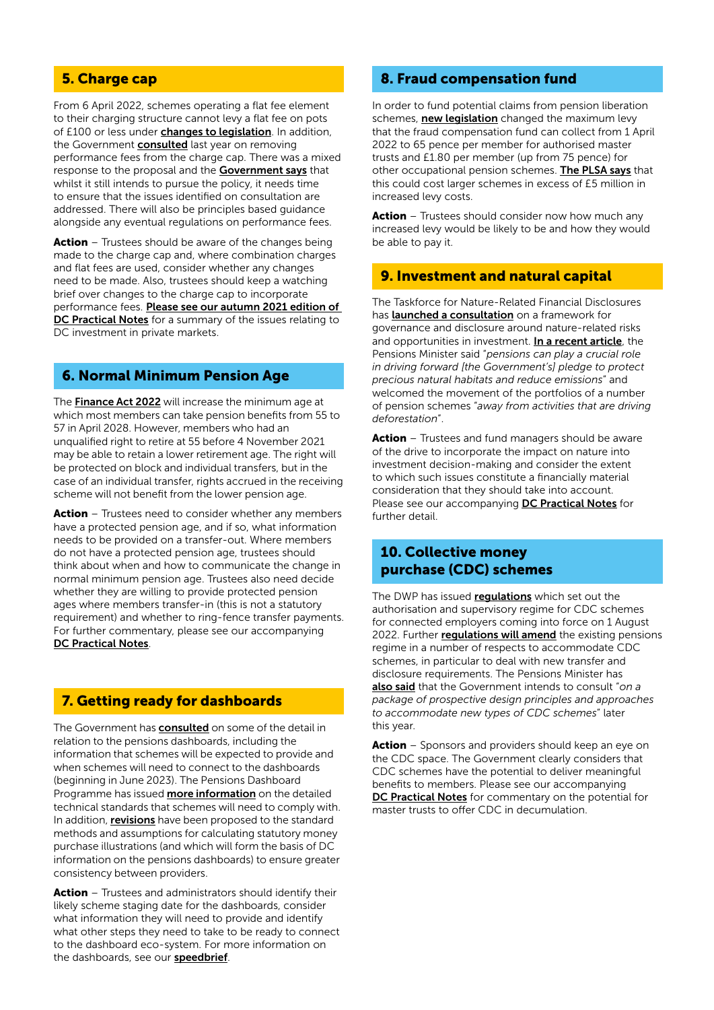### 5. Charge cap

From 6 April 2022, schemes operating a flat fee element to their charging structure cannot levy a flat fee on pots of £100 or less under [changes to legislation](https://www.legislation.gov.uk/uksi/2022/10/contents/made). In addition, the Government [consulted](https://assets.publishing.service.gov.uk/government/uploads/system/uploads/attachment_data/file/1037175/enabling-investment-in-productive-finance.pdf) last year on removing performance fees from the charge cap. There was a mixed response to the proposal and the **[Government says](https://www.gov.uk/government/consultations/facilitating-investment-in-illiquid-assets-by-defined-contribution-pension-schemes/facilitating-investment-in-illiquid-assets#chapter-1-consultation-response--exempting-performance-based-fees-from-the-regulatory-charge-cap)** that whilst it still intends to pursue the policy, it needs time to ensure that the issues identified on consultation are addressed. There will also be principles based guidance alongside any eventual regulations on performance fees.

Action – Trustees should be aware of the changes being made to the charge cap and, where combination charges and flat fees are used, consider whether any changes need to be made. Also, trustees should keep a watching brief over changes to the charge cap to incorporate performance fees. [Please see our autumn 2021 edition of](https://www.eversheds-sutherland.com/documents/services/Pensions/dc-practical-oct21.pdf)  [DC Practical Notes](https://www.eversheds-sutherland.com/documents/services/Pensions/dc-practical-oct21.pdf) for a summary of the issues relating to DC investment in private markets.

#### 6. Normal Minimum Pension Age

The [Finance Act 2022](https://www.legislation.gov.uk/ukpga/2022/3/section/10/enacted) will increase the minimum age at which most members can take pension benefits from 55 to 57 in April 2028. However, members who had an unqualified right to retire at 55 before 4 November 2021 may be able to retain a lower retirement age. The right will be protected on block and individual transfers, but in the case of an individual transfer, rights accrued in the receiving scheme will not benefit from the lower pension age.

Action - Trustees need to consider whether any members have a protected pension age, and if so, what information needs to be provided on a transfer-out. Where members do not have a protected pension age, trustees should think about when and how to communicate the change in normal minimum pension age. Trustees also need decide whether they are willing to provide protected pension ages where members transfer-in (this is not a statutory requirement) and whether to ring-fence transfer payments. For further commentary, please see our accompanying [DC Practical Notes](https://www.eversheds-sutherland.com/documents/services/Pensions/dc-practical-notes-April-22.pdf).

#### 7. Getting ready for dashboards

The Government has **[consulted](https://www.gov.uk/government/consultations/pensions-dashboards-consultation-on-the-draft-pensions-dashboards-regulations-2022/pensions-dashboards-consultation-on-the-draft-pensions-dashboards-regulations-2022)** on some of the detail in relation to the pensions dashboards, including the information that schemes will be expected to provide and when schemes will need to connect to the dashboards (beginning in June 2023). The Pensions Dashboard Programme has issued **[more information](https://www.pensionsdashboardsprogramme.org.uk/2022/01/31/dwp-consultation-regulations-pensions-dashboards-pdp-standards/)** on the detailed technical standards that schemes will need to comply with. In addition, [revisions](https://www.frc.org.uk/news/february-2022/frc-consults-on-proposed-changes-to-actuarial-stan) have been proposed to the standard methods and assumptions for calculating statutory money purchase illustrations (and which will form the basis of DC information on the pensions dashboards) to ensure greater consistency between providers.

Action – Trustees and administrators should identify their likely scheme staging date for the dashboards, consider what information they will need to provide and identify what other steps they need to take to be ready to connect to the dashboard eco-system. For more information on the dashboards, see our **[speedbrief](https://www.eversheds-sutherland.com/global/en/what/articles/index.page?ArticleID=en/Pensions/dashboard-compliance-a-dash-too-much)**.

#### 8. Fraud compensation fund

In order to fund potential claims from pension liberation schemes, **[new legislation](https://assets.publishing.service.gov.uk/government/uploads/system/uploads/attachment_data/file/1060160/statutory-instrument-occupational-pension-schemes-fraud-compensation-levy-amendment-regulations-2022.pdf)** changed the maximum levy that the fraud compensation fund can collect from 1 April 2022 to 65 pence per member for authorised master trusts and £1.80 per member (up from 75 pence) for other occupational pension schemes. [The PLSA says](https://www.plsa.co.uk/press-centre/news/article/plsa-disappointed-with-fraud-compensation-fund-levy-increase) that this could cost larger schemes in excess of £5 million in increased levy costs.

**Action** – Trustees should consider now how much any increased levy would be likely to be and how they would be able to pay it.

#### 9. Investment and natural capital

The Taskforce for Nature-Related Financial Disclosures has [launched a consultation](https://tnfd.global/tnfd-framework/) on a framework for governance and disclosure around nature-related risks and opportunities in investment. [In a recent article](https://www.gov.uk/government/speeches/how-your-pensions-can-help-tackle-climate-change), the Pensions Minister said "*pensions can play a crucial role in driving forward [the Government's] pledge to protect precious natural habitats and reduce emissions*" and welcomed the movement of the portfolios of a number of pension schemes "*away from activities that are driving deforestation*".

Action – Trustees and fund managers should be aware of the drive to incorporate the impact on nature into investment decision-making and consider the extent to which such issues constitute a financially material consideration that they should take into account. Please see our accompanying [DC Practical Notes](https://www.eversheds-sutherland.com/documents/services/Pensions/dc-practical-notes-April-22.pdf) for further detail.

#### 10. Collective money purchase (CDC) schemes

The DWP has issued [regulations](https://www.legislation.gov.uk/uksi/2022/255/contents/made) which set out the authorisation and supervisory regime for CDC schemes for connected employers coming into force on 1 August 2022. Further **[regulations will amend](https://www.legislation.gov.uk/uksi/2022/337/contents/made)** the existing pensions regime in a number of respects to accommodate CDC schemes, in particular to deal with new transfer and disclosure requirements. The Pensions Minister has [also said](https://www.gov.uk/government/news/more-savers-to-benefit-from-new-pension-provision) that the Government intends to consult "*on a package of prospective design principles and approaches to accommodate new types of CDC schemes*" later this year.

Action – Sponsors and providers should keep an eye on the CDC space. The Government clearly considers that CDC schemes have the potential to deliver meaningful benefits to members. Please see our accompanying [DC Practical Notes](https://www.eversheds-sutherland.com/documents/services/Pensions/dc-practical-notes-April-22.pdf) for commentary on the potential for master trusts to offer CDC in decumulation.